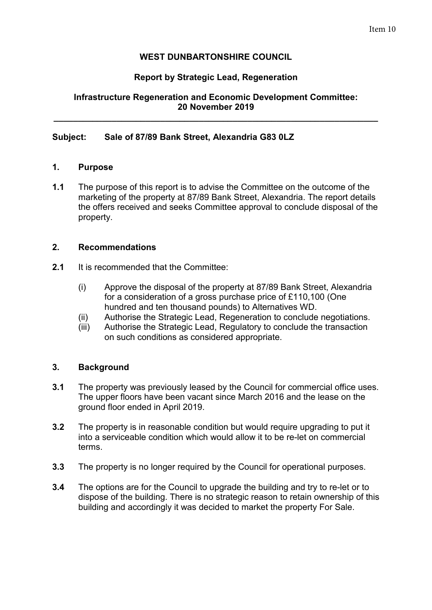# **WEST DUNBARTONSHIRE COUNCIL**

# **Report by Strategic Lead, Regeneration**

# **Infrastructure Regeneration and Economic Development Committee: 20 November 2019**

**\_\_\_\_\_\_\_\_\_\_\_\_\_\_\_\_\_\_\_\_\_\_\_\_\_\_\_\_\_\_\_\_\_\_\_\_\_\_\_\_\_\_\_\_\_\_\_\_\_\_\_\_\_\_\_\_\_\_\_\_\_\_\_\_\_\_\_** 

### **Subject: Sale of 87/89 Bank Street, Alexandria G83 0LZ**

### **1. Purpose**

**1.1** The purpose of this report is to advise the Committee on the outcome of the marketing of the property at 87/89 Bank Street, Alexandria. The report details the offers received and seeks Committee approval to conclude disposal of the property.

### **2. Recommendations**

- **2.1** It is recommended that the Committee:
	- (i) Approve the disposal of the property at 87/89 Bank Street, Alexandria for a consideration of a gross purchase price of £110,100 (One hundred and ten thousand pounds) to Alternatives WD.
	- (ii) Authorise the Strategic Lead, Regeneration to conclude negotiations.
	- (iii) Authorise the Strategic Lead, Regulatory to conclude the transaction on such conditions as considered appropriate.

# **3. Background**

- **3.1** The property was previously leased by the Council for commercial office uses. The upper floors have been vacant since March 2016 and the lease on the ground floor ended in April 2019.
- **3.2** The property is in reasonable condition but would require upgrading to put it into a serviceable condition which would allow it to be re-let on commercial terms.
- **3.3** The property is no longer required by the Council for operational purposes.
- **3.4** The options are for the Council to upgrade the building and try to re-let or to dispose of the building. There is no strategic reason to retain ownership of this building and accordingly it was decided to market the property For Sale.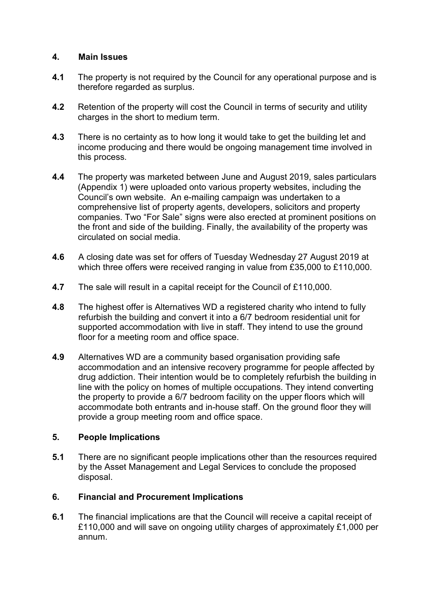### **4. Main Issues**

- **4.1** The property is not required by the Council for any operational purpose and is therefore regarded as surplus.
- **4.2** Retention of the property will cost the Council in terms of security and utility charges in the short to medium term.
- **4.3** There is no certainty as to how long it would take to get the building let and income producing and there would be ongoing management time involved in this process.
- **4.4** The property was marketed between June and August 2019, sales particulars (Appendix 1) were uploaded onto various property websites, including the Council's own website. An e-mailing campaign was undertaken to a comprehensive list of property agents, developers, solicitors and property companies. Two "For Sale" signs were also erected at prominent positions on the front and side of the building. Finally, the availability of the property was circulated on social media.
- **4.6** A closing date was set for offers of Tuesday Wednesday 27 August 2019 at which three offers were received ranging in value from £35,000 to £110,000.
- **4.7** The sale will result in a capital receipt for the Council of £110,000.
- **4.8** The highest offer is Alternatives WD a registered charity who intend to fully refurbish the building and convert it into a 6/7 bedroom residential unit for supported accommodation with live in staff. They intend to use the ground floor for a meeting room and office space.
- **4.9** Alternatives WD are a community based organisation providing safe accommodation and an intensive recovery programme for people affected by drug addiction. Their intention would be to completely refurbish the building in line with the policy on homes of multiple occupations. They intend converting the property to provide a 6/7 bedroom facility on the upper floors which will accommodate both entrants and in-house staff. On the ground floor they will provide a group meeting room and office space.

# **5. People Implications**

**5.1** There are no significant people implications other than the resources required by the Asset Management and Legal Services to conclude the proposed disposal.

# **6. Financial and Procurement Implications**

**6.1** The financial implications are that the Council will receive a capital receipt of £110,000 and will save on ongoing utility charges of approximately £1,000 per annum.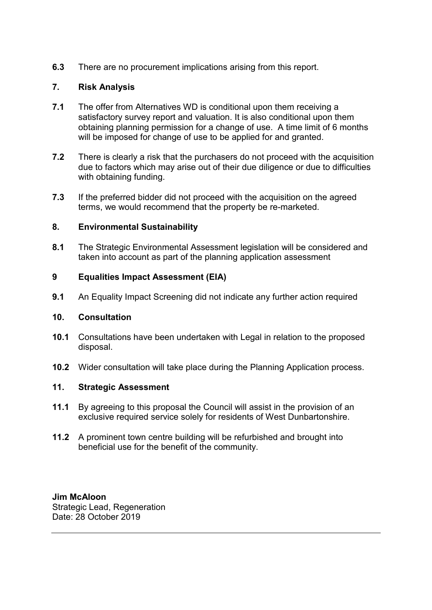**6.3** There are no procurement implications arising from this report.

# **7. Risk Analysis**

- **7.1** The offer from Alternatives WD is conditional upon them receiving a satisfactory survey report and valuation. It is also conditional upon them obtaining planning permission for a change of use. A time limit of 6 months will be imposed for change of use to be applied for and granted.
- **7.2** There is clearly a risk that the purchasers do not proceed with the acquisition due to factors which may arise out of their due diligence or due to difficulties with obtaining funding.
- **7.3** If the preferred bidder did not proceed with the acquisition on the agreed terms, we would recommend that the property be re-marketed.

### **8. Environmental Sustainability**

**8.1** The Strategic Environmental Assessment legislation will be considered and taken into account as part of the planning application assessment

### **9 Equalities Impact Assessment (EIA)**

**9.1** An Equality Impact Screening did not indicate any further action required

#### **10. Consultation**

- **10.1** Consultations have been undertaken with Legal in relation to the proposed disposal.
- **10.2** Wider consultation will take place during the Planning Application process.

### **11. Strategic Assessment**

- **11.1** By agreeing to this proposal the Council will assist in the provision of an exclusive required service solely for residents of West Dunbartonshire.
- **11.2** A prominent town centre building will be refurbished and brought into beneficial use for the benefit of the community.

**Jim McAloon**  Strategic Lead, Regeneration Date: 28 October 2019